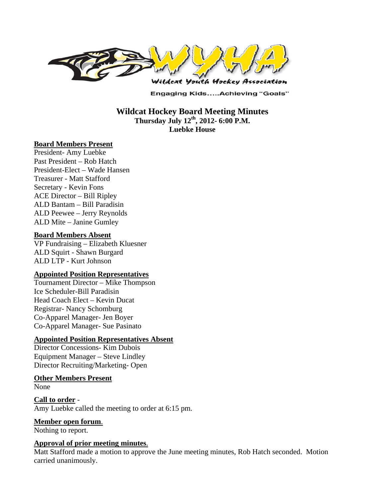

**Engaging Kids.....Achieving "Goals"** 

**Wildcat Hockey Board Meeting Minutes Thursday July 12th, 2012- 6:00 P.M. Luebke House** 

#### **Board Members Present**

President- Amy Luebke Past President – Rob Hatch President-Elect – Wade Hansen Treasurer - Matt Stafford Secretary - Kevin Fons ACE Director – Bill Ripley ALD Bantam – Bill Paradisin ALD Peewee – Jerry Reynolds ALD Mite – Janine Gumley

#### **Board Members Absent**

VP Fundraising – Elizabeth Kluesner ALD Squirt - Shawn Burgard ALD LTP - Kurt Johnson

#### **Appointed Position Representatives**

Tournament Director – Mike Thompson Ice Scheduler-Bill Paradisin Head Coach Elect – Kevin Ducat Registrar- Nancy Schomburg Co-Apparel Manager- Jen Boyer Co-Apparel Manager- Sue Pasinato

### **Appointed Position Representatives Absent**

Director Concessions- Kim Dubois Equipment Manager – Steve Lindley Director Recruiting/Marketing- Open

### **Other Members Present**

None

**Call to order** - Amy Luebke called the meeting to order at 6:15 pm.

**Member open forum**.

Nothing to report.

### **Approval of prior meeting minutes**.

Matt Stafford made a motion to approve the June meeting minutes, Rob Hatch seconded. Motion carried unanimously.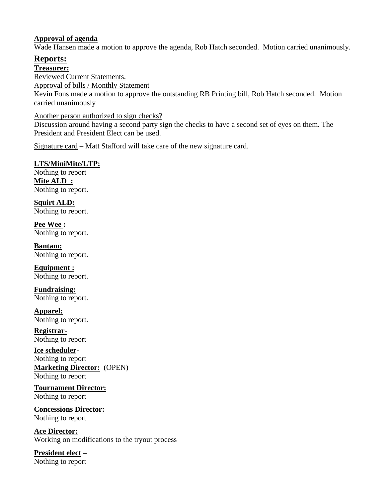### **Approval of agenda**

Wade Hansen made a motion to approve the agenda, Rob Hatch seconded. Motion carried unanimously.

# **Reports:**

## **Treasurer:**

Reviewed Current Statements.

Approval of bills / Monthly Statement

Kevin Fons made a motion to approve the outstanding RB Printing bill, Rob Hatch seconded. Motion carried unanimously

Another person authorized to sign checks?

Discussion around having a second party sign the checks to have a second set of eyes on them. The President and President Elect can be used.

Signature card – Matt Stafford will take care of the new signature card.

## **LTS/MiniMite/LTP:**

Nothing to report **Mite ALD :**  Nothing to report.

**Squirt ALD:**  Nothing to report.

**Pee Wee :**  Nothing to report.

**Bantam:**  Nothing to report.

**Equipment :**  Nothing to report.

**Fundraising:**  Nothing to report.

**Apparel:**  Nothing to report.

**Registrar-**Nothing to report

**Ice scheduler-**Nothing to report **Marketing Director:** (OPEN) Nothing to report

**Tournament Director:** Nothing to report

**Concessions Director:** Nothing to report

**Ace Director:**  Working on modifications to the tryout process

**President elect –** Nothing to report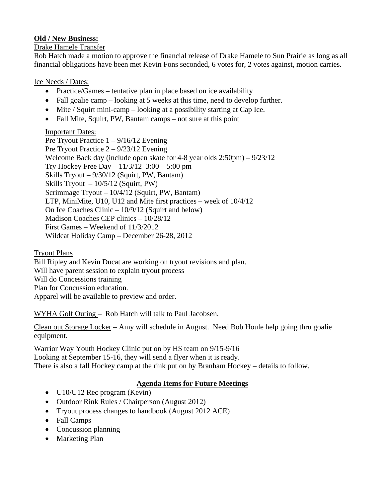## **Old / New Business:**

## Drake Hamele Transfer

Rob Hatch made a motion to approve the financial release of Drake Hamele to Sun Prairie as long as all financial obligations have been met Kevin Fons seconded, 6 votes for, 2 votes against, motion carries.

## Ice Needs / Dates:

- Practice/Games tentative plan in place based on ice availability
- Fall goalie camp looking at 5 weeks at this time, need to develop further.
- $\bullet$  Mite / Squirt mini-camp looking at a possibility starting at Cap Ice.
- Fall Mite, Squirt, PW, Bantam camps not sure at this point

## Important Dates:

Pre Tryout Practice 1 – 9/16/12 Evening Pre Tryout Practice 2 – 9/23/12 Evening Welcome Back day (include open skate for 4-8 year olds 2:50pm) – 9/23/12 Try Hockey Free Day –  $11/3/12$  3:00 – 5:00 pm Skills Tryout – 9/30/12 (Squirt, PW, Bantam) Skills Tryout  $-10/5/12$  (Squirt, PW) Scrimmage Tryout – 10/4/12 (Squirt, PW, Bantam) LTP, MiniMite, U10, U12 and Mite first practices – week of 10/4/12 On Ice Coaches Clinic – 10/9/12 (Squirt and below) Madison Coaches CEP clinics – 10/28/12 First Games – Weekend of 11/3/2012 Wildcat Holiday Camp – December 26-28, 2012

## Tryout Plans

Bill Ripley and Kevin Ducat are working on tryout revisions and plan. Will have parent session to explain tryout process Will do Concessions training Plan for Concussion education. Apparel will be available to preview and order.

WYHA Golf Outing – Rob Hatch will talk to Paul Jacobsen.

Clean out Storage Locker – Amy will schedule in August. Need Bob Houle help going thru goalie equipment.

Warrior Way Youth Hockey Clinic put on by HS team on 9/15-9/16 Looking at September 15-16, they will send a flyer when it is ready. There is also a fall Hockey camp at the rink put on by Branham Hockey – details to follow.

## **Agenda Items for Future Meetings**

- U10/U12 Rec program (Kevin)
- Outdoor Rink Rules / Chairperson (August 2012)
- Tryout process changes to handbook (August 2012 ACE)
- Fall Camps
- Concussion planning
- Marketing Plan